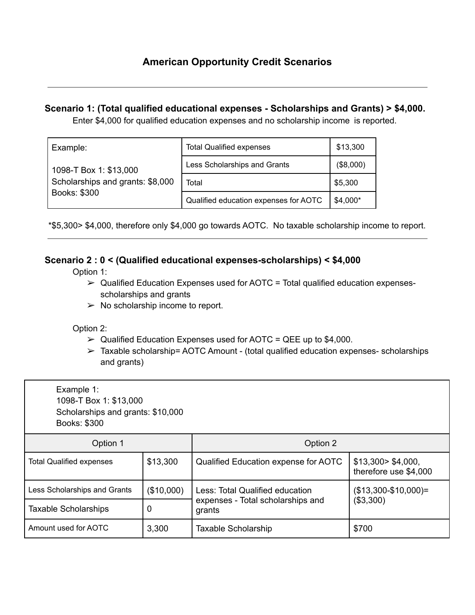## **Scenario 1: (Total qualified educational expenses - Scholarships and Grants) > \$4,000.**

Enter \$4,000 for qualified education expenses and no scholarship income is reported.

| Example:<br>1098-T Box 1: \$13,000<br>Scholarships and grants: \$8,000<br>Books: \$300 | <b>Total Qualified expenses</b>       | \$13,300  |
|----------------------------------------------------------------------------------------|---------------------------------------|-----------|
|                                                                                        | Less Scholarships and Grants          | (\$8,000) |
|                                                                                        | Total                                 | \$5,300   |
|                                                                                        | Qualified education expenses for AOTC | $$4,000*$ |

\*\$5,300> \$4,000, therefore only \$4,000 go towards AOTC. No taxable scholarship income to report.

## **Scenario 2 : 0 < (Qualified educational expenses-scholarships) < \$4,000**

Option 1:

- $\triangleright$  Qualified Education Expenses used for AOTC = Total qualified education expensesscholarships and grants
- $\triangleright$  No scholarship income to report.

Option 2:

- $\triangleright$  Qualified Education Expenses used for AOTC = QEE up to \$4,000.
- $\triangleright$  Taxable scholarship= AOTC Amount (total qualified education expenses- scholarships and grants)

| Example 1:<br>1098-T Box 1: \$13,000<br>Scholarships and grants: \$10,000<br>Books: \$300 |            |                                             |                                             |  |  |
|-------------------------------------------------------------------------------------------|------------|---------------------------------------------|---------------------------------------------|--|--|
| Option 1                                                                                  |            | Option 2                                    |                                             |  |  |
| <b>Total Qualified expenses</b>                                                           | \$13,300   | Qualified Education expense for AOTC        | \$13,300> \$4,000,<br>therefore use \$4,000 |  |  |
| Less Scholarships and Grants                                                              | (\$10,000) | Less: Total Qualified education             | $($13,300-$10,000)=$<br>(\$3,300)           |  |  |
| Taxable Scholarships                                                                      | 0          | expenses - Total scholarships and<br>grants |                                             |  |  |
| Amount used for AOTC                                                                      | 3,300      | Taxable Scholarship                         | \$700                                       |  |  |